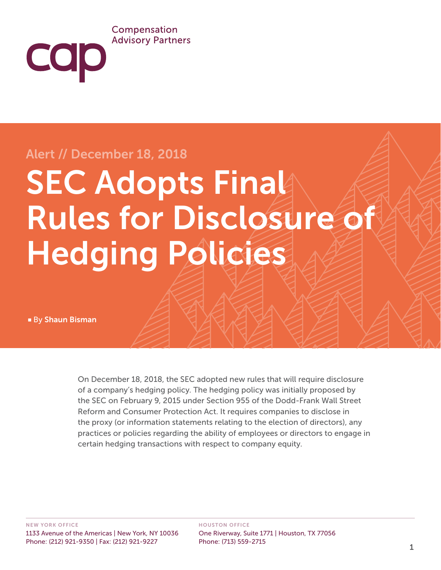#### Compensation **Advisory Partners**

## Alert // December 18, 2018

# **SEC Adopts Final** Rules for Disclosure of Hedging Policies

■ By Shaun Bisman

**COD** 

On December 18, 2018, the SEC adopted new rules that will require disclosure of a company's hedging policy. The hedging policy was initially proposed by the SEC on February 9, 2015 under Section 955 of the Dodd-Frank Wall Street Reform and Consumer Protection Act. It requires companies to disclose in the proxy (or information statements relating to the election of directors), any practices or policies regarding the ability of employees or directors to engage in certain hedging transactions with respect to company equity.

#### HOUSTON OFFICE

One Riverway, Suite 1771 | Houston, TX 77056 Phone: (713) 559-2715 1